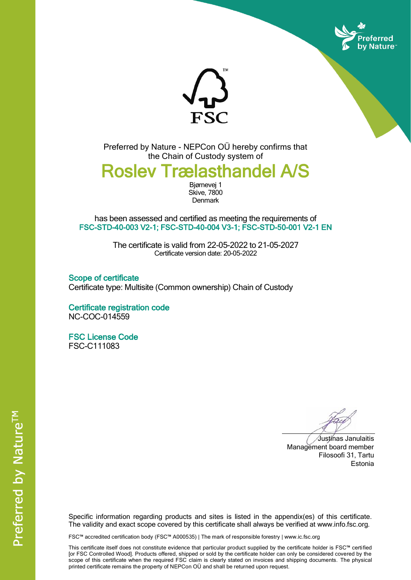



Preferred by Nature - NEPCon OÜ hereby confirms that the Chain of Custody system of

## Roslev Trælasthandel A/S

Bjørnevej 1 Skive, 7800 **Denmark** 

has been assessed and certified as meeting the requirements of FSC-STD-40-003 V2-1; FSC-STD-40-004 V3-1; FSC-STD-50-001 V2-1 EN

> The certificate is valid from 22-05-2022 to 21-05-2027 Certificate version date: 20-05-2022

Scope of certificate Certificate type: Multisite (Common ownership) Chain of Custody

Certificate registration code NC-COC-014559

FSC License Code FSC-C111083

Justinas Janulaitis Management board member Filosoofi 31, Tartu Estonia

Specific information regarding products and sites is listed in the appendix(es) of this certificate. The validity and exact scope covered by this certificate shall always be verified at www.info.fsc.org.

FSC™ accredited certification body (FSC™ A000535) | The mark of responsible forestry | www.ic.fsc.org

This certificate itself does not constitute evidence that particular product supplied by the certificate holder is FSC™ certified [or FSC Controlled Wood]. Products offered, shipped or sold by the certificate holder can only be considered covered by the scope of this certificate when the required FSC claim is clearly stated on invoices and shipping documents. The physical printed certificate remains the property of NEPCon OÜ and shall be returned upon request.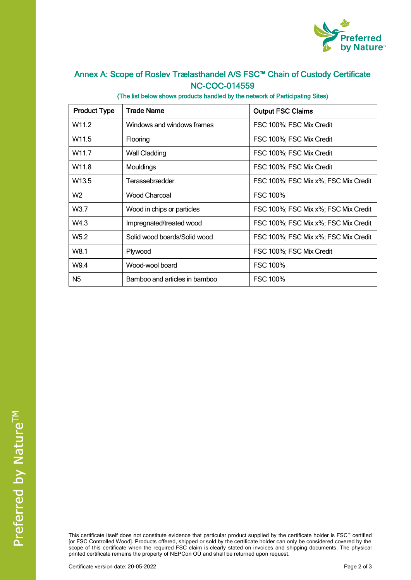

## Annex A: Scope of Roslev Trælasthandel A/S FSC™ Chain of Custody Certificate NC-COC-014559

(The list below shows products handled by the network of Participating Sites)

| <b>Product Type</b> | <b>Trade Name</b>             | <b>Output FSC Claims</b>             |  |
|---------------------|-------------------------------|--------------------------------------|--|
| W <sub>11.2</sub>   | Windows and windows frames    | FSC 100%; FSC Mix Credit             |  |
| W <sub>11.5</sub>   | Flooring                      | FSC 100%; FSC Mix Credit             |  |
| W <sub>11.7</sub>   | Wall Cladding                 | FSC 100%; FSC Mix Credit             |  |
| W <sub>11.8</sub>   | Mouldings                     | FSC 100%; FSC Mix Credit             |  |
| W <sub>13.5</sub>   | Terassebrædder                | FSC 100%; FSC Mix x%; FSC Mix Credit |  |
| W <sub>2</sub>      | <b>Wood Charcoal</b>          | <b>FSC 100%</b>                      |  |
| W <sub>3.7</sub>    | Wood in chips or particles    | FSC 100%; FSC Mix x%; FSC Mix Credit |  |
| W4.3                | Impregnated/treated wood      | FSC 100%; FSC Mix x%; FSC Mix Credit |  |
| W <sub>5.2</sub>    | Solid wood boards/Solid wood  | FSC 100%; FSC Mix x%; FSC Mix Credit |  |
| W8.1                | Plywood                       | FSC 100%; FSC Mix Credit             |  |
| W9.4                | Wood-wool board               | <b>FSC 100%</b>                      |  |
| N <sub>5</sub>      | Bamboo and articles in bamboo | <b>FSC 100%</b>                      |  |

This certificate itself does not constitute evidence that particular product supplied by the certificate holder is FSC™ certified [or FSC Controlled Wood]. Products offered, shipped or sold by the certificate holder can only be considered covered by the scope of this certificate when the required FSC claim is clearly stated on invoices and shipping documents. The physical printed certificate remains the property of NEPCon OÜ and shall be returned upon request.